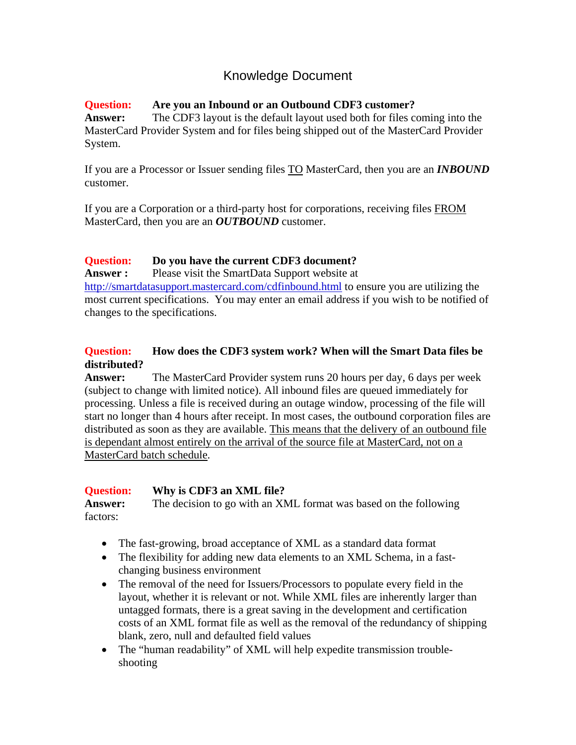# Knowledge Document

### **Question: Are you an Inbound or an Outbound CDF3 customer?**

**Answer:** The CDF3 layout is the default layout used both for files coming into the MasterCard Provider System and for files being shipped out of the MasterCard Provider System.

If you are a Processor or Issuer sending files TO MasterCard, then you are an *INBOUND* customer.

If you are a Corporation or a third-party host for corporations, receiving files FROM MasterCard, then you are an *OUTBOUND* customer.

### **Question: Do you have the current CDF3 document?**

**Answer :** Please visit the SmartData Support website at http://smartdatasupport.mastercard.com/cdfinbound.html to ensure you are utilizing the most current specifications. You may enter an email address if you wish to be notified of changes to the specifications.

### **Question: How does the CDF3 system work? When will the Smart Data files be distributed?**

**Answer:** The MasterCard Provider system runs 20 hours per day, 6 days per week (subject to change with limited notice). All inbound files are queued immediately for processing. Unless a file is received during an outage window, processing of the file will start no longer than 4 hours after receipt. In most cases, the outbound corporation files are distributed as soon as they are available. This means that the delivery of an outbound file is dependant almost entirely on the arrival of the source file at MasterCard, not on a MasterCard batch schedule.

### **Question: Why is CDF3 an XML file?**

Answer: The decision to go with an XML format was based on the following factors:

- The fast-growing, broad acceptance of XML as a standard data format
- The flexibility for adding new data elements to an XML Schema, in a fastchanging business environment
- The removal of the need for Issuers/Processors to populate every field in the layout, whether it is relevant or not. While XML files are inherently larger than untagged formats, there is a great saving in the development and certification costs of an XML format file as well as the removal of the redundancy of shipping blank, zero, null and defaulted field values
- The "human readability" of XML will help expedite transmission troubleshooting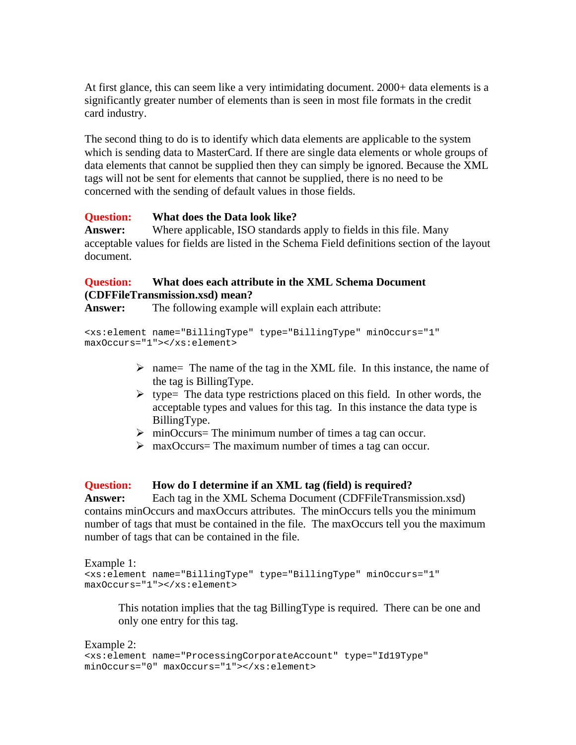At first glance, this can seem like a very intimidating document. 2000+ data elements is a significantly greater number of elements than is seen in most file formats in the credit card industry.

The second thing to do is to identify which data elements are applicable to the system which is sending data to MasterCard. If there are single data elements or whole groups of data elements that cannot be supplied then they can simply be ignored. Because the XML tags will not be sent for elements that cannot be supplied, there is no need to be concerned with the sending of default values in those fields.

#### **Question: What does the Data look like?**

**Answer:** Where applicable, ISO standards apply to fields in this file. Many acceptable values for fields are listed in the Schema Field definitions section of the layout document.

### **Question: What does each attribute in the XML Schema Document (CDFFileTransmission.xsd) mean?**

**Answer:** The following example will explain each attribute:

```
<xs:element name="BillingType" type="BillingType" minOccurs="1" 
maxOccurs="1"></xs:element>
```
- $\triangleright$  name= The name of the tag in the XML file. In this instance, the name of the tag is BillingType.
- $\triangleright$  type= The data type restrictions placed on this field. In other words, the acceptable types and values for this tag. In this instance the data type is BillingType.
- $\triangleright$  minOccurs= The minimum number of times a tag can occur.
- $\triangleright$  maxOccurs= The maximum number of times a tag can occur.

#### **Question: How do I determine if an XML tag (field) is required?**

**Answer:** Each tag in the XML Schema Document (CDFFileTransmission.xsd) contains minOccurs and maxOccurs attributes. The minOccurs tells you the minimum number of tags that must be contained in the file. The maxOccurs tell you the maximum number of tags that can be contained in the file.

Example 1:

```
<xs:element name="BillingType" type="BillingType" minOccurs="1" 
maxOccurs="1"></xs:element>
```
This notation implies that the tag BillingType is required. There can be one and only one entry for this tag.

#### Example 2: <xs:element name="ProcessingCorporateAccount" type="Id19Type" minOccurs="0" maxOccurs="1"></xs:element>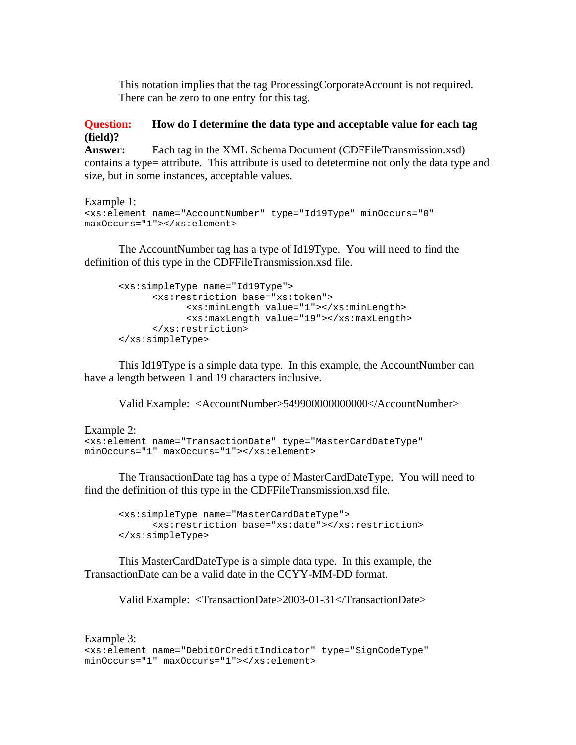This notation implies that the tag ProcessingCorporateAccount is not required. There can be zero to one entry for this tag.

#### **Question: How do I determine the data type and acceptable value for each tag (field)?**

**Answer:** Each tag in the XML Schema Document (CDFFileTransmission.xsd) contains a type= attribute. This attribute is used to detetermine not only the data type and size, but in some instances, acceptable values.

```
Example 1: 
<xs:element name="AccountNumber" type="Id19Type" minOccurs="0" 
maxOccurs="1"></xs:element>
```
 The AccountNumber tag has a type of Id19Type. You will need to find the definition of this type in the CDFFileTransmission.xsd file.

```
<xs:simpleType name="Id19Type"> 
       <xs:restriction base="xs:token"> 
             <xs:minLength value="1"></xs:minLength> 
             <xs:maxLength value="19"></xs:maxLength> 
       </xs:restriction> 
 </xs:simpleType>
```
 This Id19Type is a simple data type. In this example, the AccountNumber can have a length between 1 and 19 characters inclusive.

Valid Example: <AccountNumber>549900000000000</AccountNumber>

```
Example 2: 
<xs:element name="TransactionDate" type="MasterCardDateType" 
minOccurs="1" maxOccurs="1"></xs:element>
```
 The TransactionDate tag has a type of MasterCardDateType. You will need to find the definition of this type in the CDFFileTransmission.xsd file.

```
<xs:simpleType name="MasterCardDateType"> 
       <xs:restriction base="xs:date"></xs:restriction> 
 </xs:simpleType>
```
 This MasterCardDateType is a simple data type. In this example, the TransactionDate can be a valid date in the CCYY-MM-DD format.

Valid Example: <TransactionDate>2003-01-31</TransactionDate>

```
Example 3: 
<xs:element name="DebitOrCreditIndicator" type="SignCodeType" 
minOccurs="1" maxOccurs="1"></xs:element>
```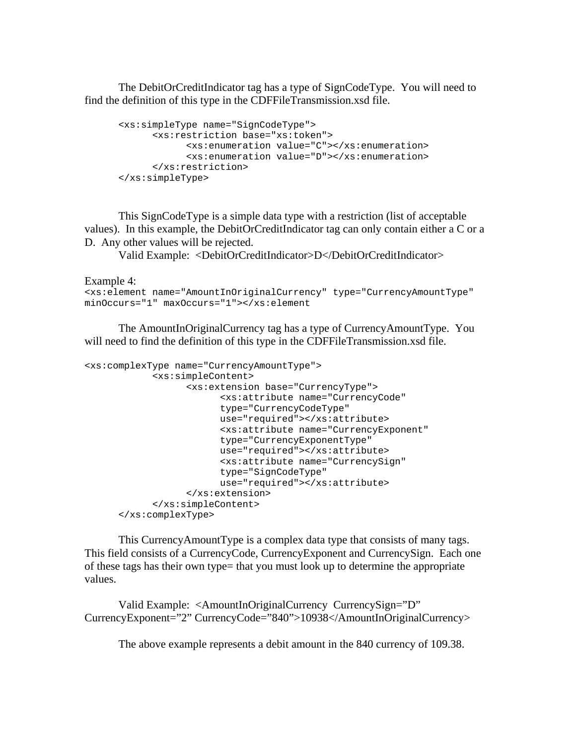The DebitOrCreditIndicator tag has a type of SignCodeType. You will need to find the definition of this type in the CDFFileTransmission.xsd file.

```
<xs:simpleType name="SignCodeType"> 
       <xs:restriction base="xs:token"> 
             <xs:enumeration value="C"></xs:enumeration> 
             <xs:enumeration value="D"></xs:enumeration> 
       </xs:restriction> 
 </xs:simpleType>
```
 This SignCodeType is a simple data type with a restriction (list of acceptable values). In this example, the DebitOrCreditIndicator tag can only contain either a C or a D. Any other values will be rejected.

Valid Example: <DebitOrCreditIndicator>D</DebitOrCreditIndicator>

Example 4:

```
<xs:element name="AmountInOriginalCurrency" type="CurrencyAmountType" 
minOccurs="1" maxOccurs="1"></xs:element
```
 The AmountInOriginalCurrency tag has a type of CurrencyAmountType. You will need to find the definition of this type in the CDFFileTransmission.xsd file.

```
<xs:complexType name="CurrencyAmountType"> 
             <xs:simpleContent> 
                    <xs:extension base="CurrencyType"> 
                         <xs:attribute name="CurrencyCode" 
                         type="CurrencyCodeType" 
                         use="required"></xs:attribute> 
                         <xs:attribute name="CurrencyExponent" 
                         type="CurrencyExponentType" 
                         use="required"></xs:attribute> 
                         <xs:attribute name="CurrencySign" 
                         type="SignCodeType" 
                         use="required"></xs:attribute> 
                    </xs:extension> 
             </xs:simpleContent> 
       </xs:complexType>
```
 This CurrencyAmountType is a complex data type that consists of many tags. This field consists of a CurrencyCode, CurrencyExponent and CurrencySign. Each one of these tags has their own type= that you must look up to determine the appropriate values.

 Valid Example: <AmountInOriginalCurrency CurrencySign="D" CurrencyExponent="2" CurrencyCode="840">10938</AmountInOriginalCurrency>

The above example represents a debit amount in the 840 currency of 109.38.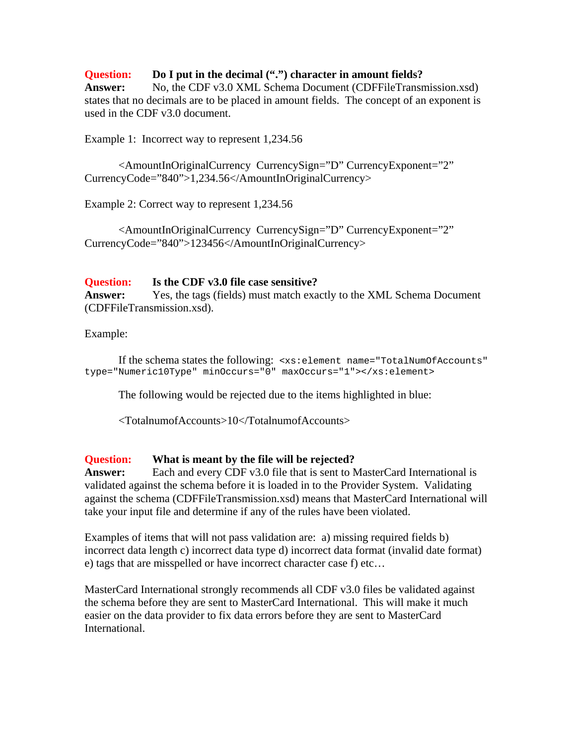**Question: Do I put in the decimal (".") character in amount fields? Answer:** No, the CDF v3.0 XML Schema Document (CDFFileTransmission.xsd) states that no decimals are to be placed in amount fields. The concept of an exponent is used in the CDF v3.0 document.

Example 1: Incorrect way to represent 1,234.56

<AmountInOriginalCurrency CurrencySign="D" CurrencyExponent="2" CurrencyCode="840">1,234.56</AmountInOriginalCurrency>

Example 2: Correct way to represent 1,234.56

<AmountInOriginalCurrency CurrencySign="D" CurrencyExponent="2" CurrencyCode="840">123456</AmountInOriginalCurrency>

#### **Question: Is the CDF v3.0 file case sensitive?**

**Answer:** Yes, the tags (fields) must match exactly to the XML Schema Document (CDFFileTransmission.xsd).

Example:

 If the schema states the following: <xs:element name="TotalNumOfAccounts" type="Numeric10Type" minOccurs="0" maxOccurs="1"></xs:element>

The following would be rejected due to the items highlighted in blue:

<TotalnumofAccounts>10</TotalnumofAccounts>

#### **Question: What is meant by the file will be rejected?**

**Answer:** Each and every CDF v3.0 file that is sent to MasterCard International is validated against the schema before it is loaded in to the Provider System. Validating against the schema (CDFFileTransmission.xsd) means that MasterCard International will take your input file and determine if any of the rules have been violated.

Examples of items that will not pass validation are: a) missing required fields b) incorrect data length c) incorrect data type d) incorrect data format (invalid date format) e) tags that are misspelled or have incorrect character case f) etc…

MasterCard International strongly recommends all CDF v3.0 files be validated against the schema before they are sent to MasterCard International. This will make it much easier on the data provider to fix data errors before they are sent to MasterCard International.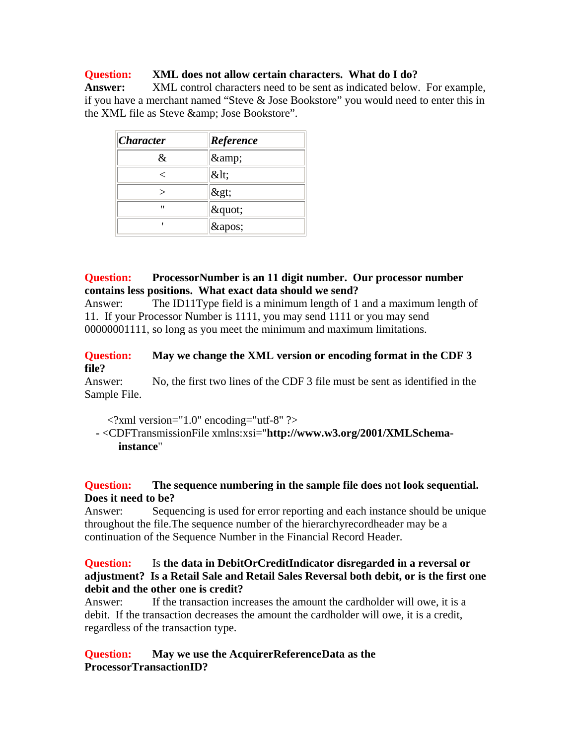#### **Question: XML does not allow certain characters. What do I do?**

**Answer:** XML control characters need to be sent as indicated below. For example, if you have a merchant named "Steve & Jose Bookstore" you would need to enter this in the XML file as Steve & amp; Jose Bookstore".

| <i><b>Character</b></i> | Reference  |
|-------------------------|------------|
| &.                      | &          |
|                         | <          |
|                         | >          |
| "                       | $\&$ quot; |
|                         | '          |

#### **Question: ProcessorNumber is an 11 digit number. Our processor number contains less positions. What exact data should we send?**

Answer: The ID11Type field is a minimum length of 1 and a maximum length of 11. If your Processor Number is 1111, you may send 1111 or you may send 00000001111, so long as you meet the minimum and maximum limitations.

### **Question: May we change the XML version or encoding format in the CDF 3 file?**

Answer: No, the first two lines of the CDF 3 file must be sent as identified in the Sample File.

 $\langle$  2xml version="1.0" encoding="utf-8" ?>

**-** <CDFTransmissionFile xmlns:xsi="**http://www.w3.org/2001/XMLSchemainstance**"

#### **Question: The sequence numbering in the sample file does not look sequential. Does it need to be?**

Answer: Sequencing is used for error reporting and each instance should be unique throughout the file.The sequence number of the hierarchyrecordheader may be a continuation of the Sequence Number in the Financial Record Header.

### **Question:** Is **the data in DebitOrCreditIndicator disregarded in a reversal or adjustment? Is a Retail Sale and Retail Sales Reversal both debit, or is the first one debit and the other one is credit?**

Answer: If the transaction increases the amount the cardholder will owe, it is a debit. If the transaction decreases the amount the cardholder will owe, it is a credit, regardless of the transaction type.

#### **Question: May we use the AcquirerReferenceData as the ProcessorTransactionID?**